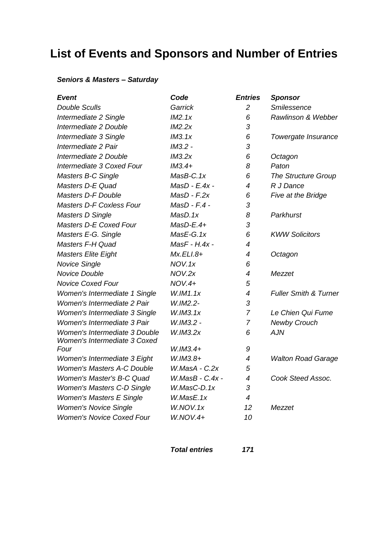## **List of Events and Sponsors and Number of Entries**

## *Seniors & Masters – Saturday*

| <b>Event</b>                      | Code              | <b>Entries</b> | <b>Sponsor</b>                   |
|-----------------------------------|-------------------|----------------|----------------------------------|
| <b>Double Sculls</b>              | Garrick           | $\overline{2}$ | Smilessence                      |
| Intermediate 2 Single             | IM2.1x            | 6              | Rawlinson & Webber               |
| Intermediate 2 Double             | IM2.2x            | 3              |                                  |
| Intermediate 3 Single             | IM3.1x            | 6              | Towergate Insurance              |
| Intermediate 2 Pair               | IM3.2 -           | 3              |                                  |
| Intermediate 2 Double             | IM3.2x            | 6              | Octagon                          |
| Intermediate 3 Coxed Four         | $IM3.4+$          | 8              | Paton                            |
| Masters B-C Single                | $MasB-C.1x$       | 6              | <b>The Structure Group</b>       |
| Masters D-E Quad                  | $MasD - E.4x -$   | $\overline{4}$ | R J Dance                        |
| <b>Masters D-F Double</b>         | $MasD - F.2x$     | 6              | Five at the Bridge               |
| <b>Masters D-F Coxless Four</b>   | $MasD - F.4 -$    | 3              |                                  |
| <b>Masters D Single</b>           | MasD.1x           | 8              | Parkhurst                        |
| Masters D-E Coxed Four            | $MasD-E.4+$       | 3              |                                  |
| Masters E-G. Single               | MasE-G.1x         | 6              | <b>KWW Solicitors</b>            |
| Masters F-H Quad                  | MasF - H.4x -     | 4              |                                  |
| <b>Masters Elite Eight</b>        | $Mx.ELI.8+$       | 4              | Octagon                          |
| <b>Novice Single</b>              | NOV.1x            | 6              |                                  |
| Novice Double                     | NOV.2x            | 4              | Mezzet                           |
| <b>Novice Coxed Four</b>          | $NOV.4+$          | 5              |                                  |
| Women's Intermediate 1 Single     | W.IM1.1x          | 4              | <b>Fuller Smith &amp; Turner</b> |
| Women's Intermediate 2 Pair       | W.IM2.2-          | 3              |                                  |
| Women's Intermediate 3 Single     | W.IM3.1x          | $\overline{7}$ | Le Chien Qui Fume                |
| Women's Intermediate 3 Pair       | W.IM3.2 -         | $\overline{7}$ | <b>Newby Crouch</b>              |
| Women's Intermediate 3 Double     | W.IM3.2x          | 6              | <b>AJN</b>                       |
| Women's Intermediate 3 Coxed      |                   |                |                                  |
| Four                              | $W.IM3.4+$        | 9              |                                  |
| Women's Intermediate 3 Eight      | $W.IM3.8+$        | 4              | <b>Walton Road Garage</b>        |
| <b>Women's Masters A-C Double</b> | W.MasA - C.2x     | 5              |                                  |
| Women's Master's B-C Quad         | $W.MasB - C.4x -$ | 4              | Cook Steed Assoc.                |
| <b>Women's Masters C-D Single</b> | W.MasC-D.1x       | 3              |                                  |
| <b>Women's Masters E Single</b>   | W.MasE.1x         | 4              |                                  |
| <b>Women's Novice Single</b>      | W.NOV.1x          | 12             | Mezzet                           |
| <b>Women's Novice Coxed Four</b>  | $W.NOV.4+$        | 10             |                                  |
|                                   |                   |                |                                  |

*Total entries 171*